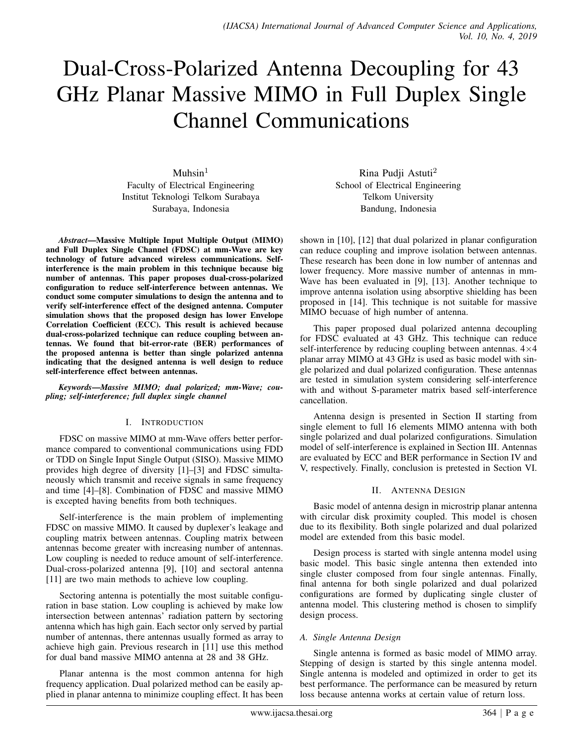# Dual-Cross-Polarized Antenna Decoupling for 43 GHz Planar Massive MIMO in Full Duplex Single Channel Communications

 $Muhsin<sup>1</sup>$ Faculty of Electrical Engineering Institut Teknologi Telkom Surabaya Surabaya, Indonesia

*Abstract*—Massive Multiple Input Multiple Output (MIMO) and Full Duplex Single Channel (FDSC) at mm-Wave are key technology of future advanced wireless communications. Selfinterference is the main problem in this technique because big number of antennas. This paper proposes dual-cross-polarized configuration to reduce self-interference between antennas. We conduct some computer simulations to design the antenna and to verify self-interference effect of the designed antenna. Computer simulation shows that the proposed design has lower Envelope Correlation Coefficient (ECC). This result is achieved because dual-cross-polarized technique can reduce coupling between antennas. We found that bit-error-rate (BER) performances of the proposed antenna is better than single polarized antenna indicating that the designed antenna is well design to reduce self-interference effect between antennas.

*Keywords*—*Massive MIMO; dual polarized; mm-Wave; coupling; self-interference; full duplex single channel*

## I. INTRODUCTION

FDSC on massive MIMO at mm-Wave offers better performance compared to conventional communications using FDD or TDD on Single Input Single Output (SISO). Massive MIMO provides high degree of diversity [1]–[3] and FDSC simultaneously which transmit and receive signals in same frequency and time [4]–[8]. Combination of FDSC and massive MIMO is excepted having benefits from both techniques.

Self-interference is the main problem of implementing FDSC on massive MIMO. It caused by duplexer's leakage and coupling matrix between antennas. Coupling matrix between antennas become greater with increasing number of antennas. Low coupling is needed to reduce amount of self-interference. Dual-cross-polarized antenna [9], [10] and sectoral antenna [11] are two main methods to achieve low coupling.

Sectoring antenna is potentially the most suitable configuration in base station. Low coupling is achieved by make low intersection between antennas' radiation pattern by sectoring antenna which has high gain. Each sector only served by partial number of antennas, there antennas usually formed as array to achieve high gain. Previous research in [11] use this method for dual band massive MIMO antenna at 28 and 38 GHz.

Planar antenna is the most common antenna for high frequency application. Dual polarized method can be easily applied in planar antenna to minimize coupling effect. It has been

Rina Pudji Astuti<sup>2</sup> School of Electrical Engineering Telkom University Bandung, Indonesia

shown in [10], [12] that dual polarized in planar configuration can reduce coupling and improve isolation between antennas. These research has been done in low number of antennas and lower frequency. More massive number of antennas in mm-Wave has been evaluated in [9], [13]. Another technique to improve antenna isolation using absorptive shielding has been proposed in [14]. This technique is not suitable for massive MIMO becuase of high number of antenna.

This paper proposed dual polarized antenna decoupling for FDSC evaluated at 43 GHz. This technique can reduce self-interference by reducing coupling between antennas. 4×4 planar array MIMO at 43 GHz is used as basic model with single polarized and dual polarized configuration. These antennas are tested in simulation system considering self-interference with and without S-parameter matrix based self-interference cancellation.

Antenna design is presented in Section II starting from single element to full 16 elements MIMO antenna with both single polarized and dual polarized configurations. Simulation model of self-interference is explained in Section III. Antennas are evaluated by ECC and BER performance in Section IV and V, respectively. Finally, conclusion is pretested in Section VI.

## II. ANTENNA DESIGN

Basic model of antenna design in microstrip planar antenna with circular disk proximity coupled. This model is chosen due to its flexibility. Both single polarized and dual polarized model are extended from this basic model.

Design process is started with single antenna model using basic model. This basic single antenna then extended into single cluster composed from four single antennas. Finally, final antenna for both single polarized and dual polarized configurations are formed by duplicating single cluster of antenna model. This clustering method is chosen to simplify design process.

## *A. Single Antenna Design*

Single antenna is formed as basic model of MIMO array. Stepping of design is started by this single antenna model. Single antenna is modeled and optimized in order to get its best performance. The performance can be measured by return loss because antenna works at certain value of return loss.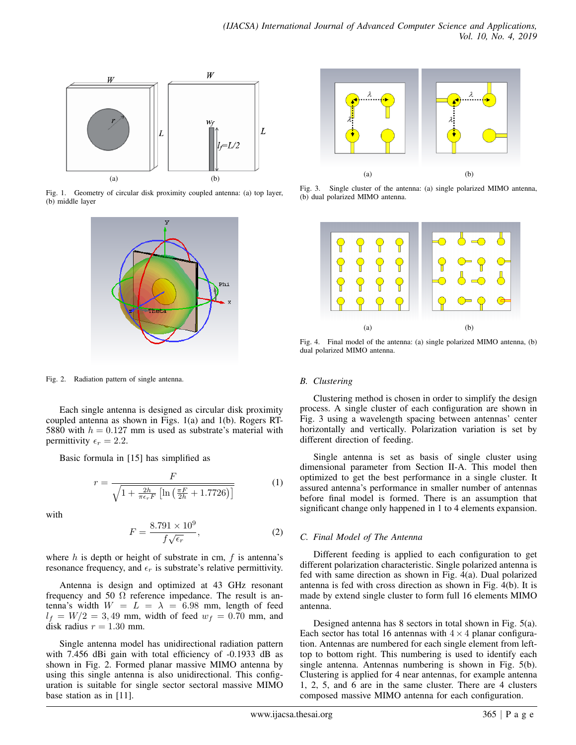

Fig. 1. Geometry of circular disk proximity coupled antenna: (a) top layer, (b) middle layer



Fig. 2. Radiation pattern of single antenna.

Each single antenna is designed as circular disk proximity coupled antenna as shown in Figs. 1(a) and 1(b). Rogers RT-5880 with  $h = 0.127$  mm is used as substrate's material with permittivity  $\epsilon_r = 2.2$ .

Basic formula in [15] has simplified as

$$
r = \frac{F}{\sqrt{1 + \frac{2h}{\pi\epsilon_r F} \left[ \ln\left(\frac{\pi F}{2h} + 1.7726\right) \right]}}
$$
(1)

with

$$
F = \frac{8.791 \times 10^9}{f\sqrt{\epsilon_r}},\tag{2}
$$

where  $h$  is depth or height of substrate in cm,  $f$  is antenna's resonance frequency, and  $\epsilon_r$  is substrate's relative permittivity.

Antenna is design and optimized at 43 GHz resonant frequency and 50  $\Omega$  reference impedance. The result is antenna's width  $W = L = \lambda = 6.98$  mm, length of feed  $l_f = W/2 = 3,49$  mm, width of feed  $w_f = 0.70$  mm, and disk radius  $r = 1.30$  mm.

Single antenna model has unidirectional radiation pattern with 7.456 dBi gain with total efficiency of  $-0.1933$  dB as shown in Fig. 2. Formed planar massive MIMO antenna by using this single antenna is also unidirectional. This configuration is suitable for single sector sectoral massive MIMO base station as in [11].



Fig. 3. Single cluster of the antenna: (a) single polarized MIMO antenna, (b) dual polarized MIMO antenna.



Fig. 4. Final model of the antenna: (a) single polarized MIMO antenna, (b) dual polarized MIMO antenna.

## *B. Clustering*

Clustering method is chosen in order to simplify the design process. A single cluster of each configuration are shown in Fig. 3 using a wavelength spacing between antennas' center horizontally and vertically. Polarization variation is set by different direction of feeding.

Single antenna is set as basis of single cluster using dimensional parameter from Section II-A. This model then optimized to get the best performance in a single cluster. It assured antenna's performance in smaller number of antennas before final model is formed. There is an assumption that significant change only happened in 1 to 4 elements expansion.

## *C. Final Model of The Antenna*

Different feeding is applied to each configuration to get different polarization characteristic. Single polarized antenna is fed with same direction as shown in Fig. 4(a). Dual polarized antenna is fed with cross direction as shown in Fig. 4(b). It is made by extend single cluster to form full 16 elements MIMO antenna.

Designed antenna has 8 sectors in total shown in Fig. 5(a). Each sector has total 16 antennas with  $4 \times 4$  planar configuration. Antennas are numbered for each single element from lefttop to bottom right. This numbering is used to identify each single antenna. Antennas numbering is shown in Fig. 5(b). Clustering is applied for 4 near antennas, for example antenna 1, 2, 5, and 6 are in the same cluster. There are 4 clusters composed massive MIMO antenna for each configuration.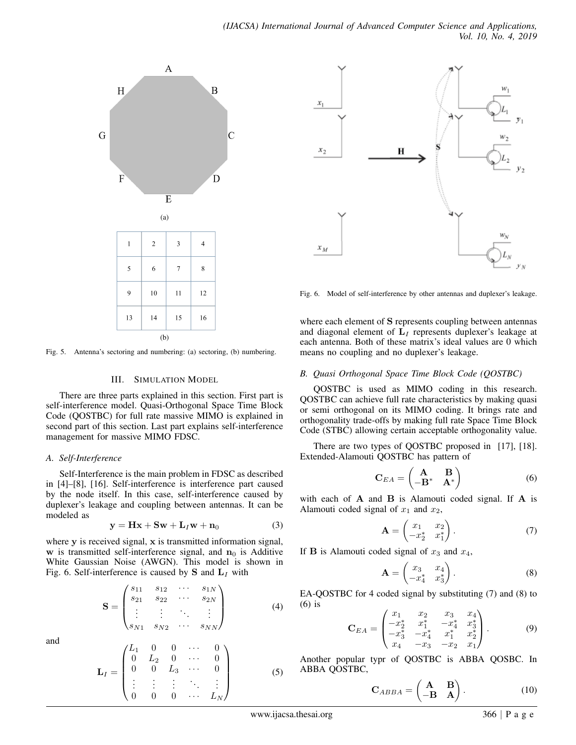

Fig. 5. Antenna's sectoring and numbering: (a) sectoring, (b) numbering.

#### III. SIMULATION MODEL

There are three parts explained in this section. First part is self-interference model. Quasi-Orthogonal Space Time Block Code (QOSTBC) for full rate massive MIMO is explained in second part of this section. Last part explains self-interference management for massive MIMO FDSC.

#### *A. Self-Interference*

Self-Interference is the main problem in FDSC as described in [4]–[8], [16]. Self-interference is interference part caused by the node itself. In this case, self-interference caused by duplexer's leakage and coupling between antennas. It can be modeled as

$$
y = Hx + Sw + L_Iw + n_0 \tag{3}
$$

where  $y$  is received signal,  $x$  is transmitted information signal, w is transmitted self-interference signal, and  $n_0$  is Additive White Gaussian Noise (AWGN). This model is shown in Fig. 6. Self-interference is caused by  $S$  and  $L<sub>I</sub>$  with

$$
\mathbf{S} = \begin{pmatrix} s_{11} & s_{12} & \cdots & s_{1N} \\ s_{21} & s_{22} & \cdots & s_{2N} \\ \vdots & \vdots & \ddots & \vdots \\ s_{N1} & s_{N2} & \cdots & s_{NN} \end{pmatrix}
$$

and

$$
\mathbf{L}_I = \begin{pmatrix} L_1 & 0 & 0 & \cdots & 0 \\ 0 & L_2 & 0 & \cdots & 0 \\ 0 & 0 & L_3 & \cdots & 0 \\ \vdots & \vdots & \vdots & \ddots & \vdots \\ 0 & 0 & 0 & \cdots & L_N \end{pmatrix}
$$



Fig. 6. Model of self-interference by other antennas and duplexer's leakage.

where each element of S represents coupling between antennas and diagonal element of  $L<sub>I</sub>$  represents duplexer's leakage at each antenna. Both of these matrix's ideal values are 0 which means no coupling and no duplexer's leakage.

## *B. Quasi Orthogonal Space Time Block Code (QOSTBC)*

QOSTBC is used as MIMO coding in this research. QOSTBC can achieve full rate characteristics by making quasi or semi orthogonal on its MIMO coding. It brings rate and orthogonality trade-offs by making full rate Space Time Block Code (STBC) allowing certain acceptable orthogonality value.

There are two types of QOSTBC proposed in [17], [18]. Extended-Alamouti QOSTBC has pattern of

$$
\mathbf{C}_{EA} = \begin{pmatrix} \mathbf{A} & \mathbf{B} \\ -\mathbf{B}^* & \mathbf{A}^* \end{pmatrix}
$$
 (6)

with each of  $A$  and  $B$  is Alamouti coded signal. If  $A$  is Alamouti coded signal of  $x_1$  and  $x_2$ ,

$$
\mathbf{A} = \begin{pmatrix} x_1 & x_2 \\ -x_2^* & x_1^* \end{pmatrix} . \tag{7}
$$

If **B** is Alamouti coded signal of  $x_3$  and  $x_4$ ,

$$
\mathbf{A} = \begin{pmatrix} x_3 & x_4 \\ -x_4^* & x_3^* \end{pmatrix} . \tag{8}
$$

EA-QOSTBC for 4 coded signal by substituting (7) and (8) to (6) is

$$
\mathbf{C}_{EA} = \begin{pmatrix} x_1 & x_2 & x_3 & x_4 \\ -x_2^* & x_1^* & -x_4^* & x_3^* \\ -x_3^* & -x_4^* & x_1^* & x_2^* \\ x_4 & -x_3 & -x_2 & x_1 \end{pmatrix} . \tag{9}
$$

Another popular typr of QOSTBC is ABBA QOSBC. In ABBA QOSTBC,

$$
\mathbf{C}_{ABBA} = \begin{pmatrix} \mathbf{A} & \mathbf{B} \\ -\mathbf{B} & \mathbf{A} \end{pmatrix} . \tag{10}
$$

(4)

(5)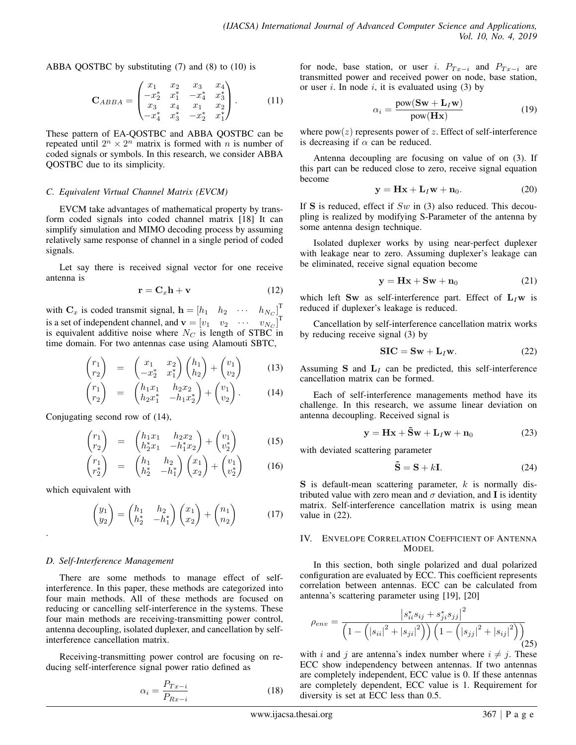ABBA QOSTBC by substituting (7) and (8) to (10) is

$$
\mathbf{C}_{ABBA} = \begin{pmatrix} x_1 & x_2 & x_3 & x_4 \\ -x_2^* & x_1^* & -x_4^* & x_3^* \\ x_3 & x_4 & x_1 & x_2 \\ -x_4^* & x_3^* & -x_2^* & x_1^* \end{pmatrix} . \tag{11}
$$

These pattern of EA-QOSTBC and ABBA QOSTBC can be repeated until  $2^n \times 2^n$  matrix is formed with n is number of coded signals or symbols. In this research, we consider ABBA QOSTBC due to its simplicity.

## *C. Equivalent Virtual Channel Matrix (EVCM)*

EVCM take advantages of mathematical property by transform coded signals into coded channel matrix [18] It can simplify simulation and MIMO decoding process by assuming relatively same response of channel in a single period of coded signals.

Let say there is received signal vector for one receive antenna is

$$
\mathbf{r} = \mathbf{C}_x \mathbf{h} + \mathbf{v} \tag{12}
$$

with  $\mathbf{C}_x$  is coded transmit signal,  $\mathbf{h} = \begin{bmatrix} h_1 & h_2 & \cdots & h_{N_C} \end{bmatrix}^T$ is a set of independent channel, and  $\mathbf{v} = \begin{bmatrix} v_1 & v_2 & \cdots & v_{N_C} \end{bmatrix}$ T is equivalent additive noise where  $N_C$  is length of STBC in time domain. For two antennas case using Alamouti SBTC,

$$
\begin{pmatrix} r_1 \\ r_2 \end{pmatrix} = \begin{pmatrix} x_1 & x_2 \\ -x_2^* & x_1^* \end{pmatrix} \begin{pmatrix} h_1 \\ h_2 \end{pmatrix} + \begin{pmatrix} v_1 \\ v_2 \end{pmatrix} \tag{13}
$$

$$
\begin{pmatrix} r_1 \\ r_2 \end{pmatrix} = \begin{pmatrix} h_1 x_1 & h_2 x_2 \\ h_2 x_1^* & -h_1 x_2^* \end{pmatrix} + \begin{pmatrix} v_1 \\ v_2 \end{pmatrix}.
$$
 (14)

Conjugating second row of (14),

$$
\begin{pmatrix} r_1 \\ r_2 \end{pmatrix} = \begin{pmatrix} h_1 x_1 & h_2 x_2 \\ h_2^* x_1 & -h_1^* x_2 \end{pmatrix} + \begin{pmatrix} v_1 \\ v_2^* \end{pmatrix} \tag{15}
$$

$$
\begin{pmatrix} r_1 \\ r_2^* \end{pmatrix} = \begin{pmatrix} h_1 & h_2 \\ h_2^* & -h_1^* \end{pmatrix} \begin{pmatrix} x_1 \\ x_2 \end{pmatrix} + \begin{pmatrix} v_1 \\ v_2^* \end{pmatrix} \tag{16}
$$

which equivalent with

.

$$
\begin{pmatrix} y_1 \\ y_2 \end{pmatrix} = \begin{pmatrix} h_1 & h_2 \\ h_2^* & -h_1^* \end{pmatrix} \begin{pmatrix} x_1 \\ x_2 \end{pmatrix} + \begin{pmatrix} n_1 \\ n_2 \end{pmatrix} \tag{17}
$$

## *D. Self-Interference Management*

There are some methods to manage effect of selfinterference. In this paper, these methods are categorized into four main methods. All of these methods are focused on reducing or cancelling self-interference in the systems. These four main methods are receiving-transmitting power control, antenna decoupling, isolated duplexer, and cancellation by selfinterference cancellation matrix.

Receiving-transmitting power control are focusing on reducing self-interference signal power ratio defined as

$$
\alpha_i = \frac{P_{Tx-i}}{P_{Rx-i}}\tag{18}
$$

for node, base station, or user i.  $P_{Tx-i}$  and  $P_{Tx-i}$  are transmitted power and received power on node, base station, or user i. In node i, it is evaluated using  $(3)$  by

$$
\alpha_i = \frac{\text{pow}(\mathbf{Sw} + \mathbf{L}_I \mathbf{w})}{\text{pow}(\mathbf{H}\mathbf{x})}
$$
(19)

where  $pow(z)$  represents power of z. Effect of self-interference is decreasing if  $\alpha$  can be reduced.

Antenna decoupling are focusing on value of on (3). If this part can be reduced close to zero, receive signal equation become

$$
\mathbf{y} = \mathbf{H}\mathbf{x} + \mathbf{L}_I \mathbf{w} + \mathbf{n}_0. \tag{20}
$$

If S is reduced, effect if  $Sw$  in (3) also reduced. This decoupling is realized by modifying S-Parameter of the antenna by some antenna design technique.

Isolated duplexer works by using near-perfect duplexer with leakage near to zero. Assuming duplexer's leakage can be eliminated, receive signal equation become

$$
y = Hx + Sw + n_0 \tag{21}
$$

which left Sw as self-interference part. Effect of  $L_I w$  is reduced if duplexer's leakage is reduced.

Cancellation by self-interference cancellation matrix works by reducing receive signal (3) by

$$
SIC = Sw + L_I w.
$$
 (22)

Assuming S and  $L<sub>I</sub>$  can be predicted, this self-interference cancellation matrix can be formed.

Each of self-interference managements method have its challenge. In this research, we assume linear deviation on antenna decoupling. Received signal is

$$
\mathbf{y} = \mathbf{H}\mathbf{x} + \tilde{\mathbf{S}}\mathbf{w} + \mathbf{L}_I \mathbf{w} + \mathbf{n}_0 \tag{23}
$$

with deviated scattering parameter

$$
\tilde{\mathbf{S}} = \mathbf{S} + k\mathbf{I}.\tag{24}
$$

 $S$  is default-mean scattering parameter, k is normally distributed value with zero mean and  $\sigma$  deviation, and **I** is identity matrix. Self-interference cancellation matrix is using mean value in (22).

## IV. ENVELOPE CORRELATION COEFFICIENT OF ANTENNA **MODEL**

In this section, both single polarized and dual polarized configuration are evaluated by ECC. This coefficient represents correlation between antennas. ECC can be calculated from antenna's scattering parameter using [19], [20]

$$
\rho_{env} = \frac{|s_{ii}^* s_{ij} + s_{ji}^* s_{jj}|^2}{\left(1 - \left(|s_{ii}|^2 + |s_{ji}|^2\right)\right) \left(1 - \left(|s_{jj}|^2 + |s_{ij}|^2\right)\right)} (25)
$$

with i and j are antenna's index number where  $i \neq j$ . These ECC show independency between antennas. If two antennas are completely independent, ECC value is 0. If these antennas are completely dependent, ECC value is 1. Requirement for diversity is set at ECC less than 0.5.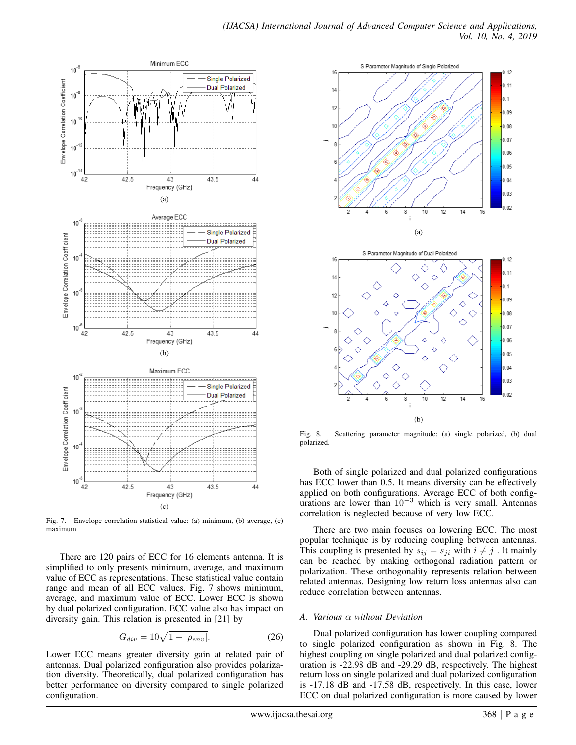

Fig. 7. Envelope correlation statistical value: (a) minimum, (b) average, (c) maximum

There are 120 pairs of ECC for 16 elements antenna. It is simplified to only presents minimum, average, and maximum value of ECC as representations. These statistical value contain range and mean of all ECC values. Fig. 7 shows minimum, average, and maximum value of ECC. Lower ECC is shown by dual polarized configuration. ECC value also has impact on diversity gain. This relation is presented in [21] by

$$
G_{div} = 10\sqrt{1 - |\rho_{env}|}. \tag{26}
$$

Lower ECC means greater diversity gain at related pair of antennas. Dual polarized configuration also provides polarization diversity. Theoretically, dual polarized configuration has better performance on diversity compared to single polarized configuration.



Fig. 8. Scattering parameter magnitude: (a) single polarized, (b) dual polarized.

Both of single polarized and dual polarized configurations has ECC lower than 0.5. It means diversity can be effectively applied on both configurations. Average ECC of both configurations are lower than  $10^{-3}$  which is very small. Antennas correlation is neglected because of very low ECC.

There are two main focuses on lowering ECC. The most popular technique is by reducing coupling between antennas. This coupling is presented by  $s_{ij} = s_{ji}$  with  $i \neq j$ . It mainly can be reached by making orthogonal radiation pattern or polarization. These orthogonality represents relation between related antennas. Designing low return loss antennas also can reduce correlation between antennas.

## *A. Various* α *without Deviation*

Dual polarized configuration has lower coupling compared to single polarized configuration as shown in Fig. 8. The highest coupling on single polarized and dual polarized configuration is -22.98 dB and -29.29 dB, respectively. The highest return loss on single polarized and dual polarized configuration is -17.18 dB and -17.58 dB, respectively. In this case, lower ECC on dual polarized configuration is more caused by lower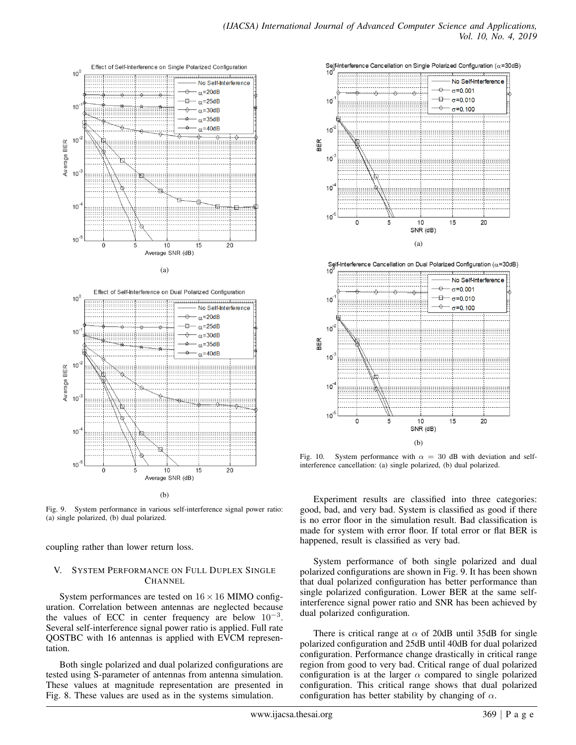



(b)

Fig. 9. System performance in various self-interference signal power ratio: (a) single polarized, (b) dual polarized.

coupling rather than lower return loss.

## V. SYSTEM PERFORMANCE ON FULL DUPLEX SINGLE **CHANNEL**

System performances are tested on  $16 \times 16$  MIMO configuration. Correlation between antennas are neglected because the values of ECC in center frequency are below  $10^{-3}$ . Several self-interference signal power ratio is applied. Full rate QOSTBC with 16 antennas is applied with EVCM representation.

Both single polarized and dual polarized configurations are tested using S-parameter of antennas from antenna simulation. These values at magnitude representation are presented in Fig. 8. These values are used as in the systems simulation.







Fig. 10. System performance with  $\alpha = 30$  dB with deviation and selfinterference cancellation: (a) single polarized, (b) dual polarized.

Experiment results are classified into three categories: good, bad, and very bad. System is classified as good if there is no error floor in the simulation result. Bad classification is made for system with error floor. If total error or flat BER is happened, result is classified as very bad.

System performance of both single polarized and dual polarized configurations are shown in Fig. 9. It has been shown that dual polarized configuration has better performance than single polarized configuration. Lower BER at the same selfinterference signal power ratio and SNR has been achieved by dual polarized configuration.

There is critical range at  $\alpha$  of 20dB until 35dB for single polarized configuration and 25dB until 40dB for dual polarized configuration. Performance change drastically in critical range region from good to very bad. Critical range of dual polarized configuration is at the larger  $\alpha$  compared to single polarized configuration. This critical range shows that dual polarized configuration has better stability by changing of  $\alpha$ .